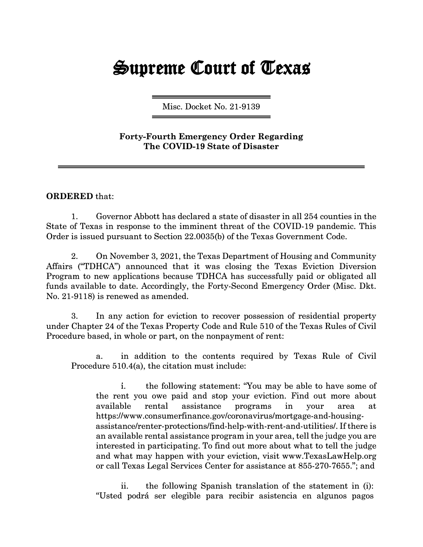## **Supreme Court of Texas**

Misc. Docket No. 21-9139

## Forty-Fourth Emergency Order Regarding The COVID-19 State of Disaster

## ORDERED that:

1. Governor Abbott has declared a state of disaster in all 254 counties in the State of Texas in response to the imminent threat of the COVID-19 pandemic. This Order is issued pursuant to Section 22.0035(b) of the Texas Government Code.

2. On November 3, 2021, the Texas Department of Housing and Community Affairs ("TDHCA'') announced that it was closing the Texas Eviction Diversion Program to new applications because TDHCA has successfully paid or obligated all funds available to date. Accordingly, the Forty-Second Emergency Order (Misc. Dkt. No. 21-9118) is renewed as amended.

3. In any action for eviction to recover possession of residential property under Chapter 24 of the Texas Property Code and Rule 510 of the Texas Rules of Civil Procedure based, in whole or part, on the nonpayment of rent:

a. in addition to the contents required by Texas Rule of Civil Procedure 510.4(a), the citation must include:

i. the following statement: "You may be able to have some of the rent you owe paid and stop your eviction. Find out more about available rental assistance programs in your area at https://www .consumerfinance.gov/coronavirus/mortgage-and-housingassistance/renter-protections/find-help-with-rent-and-utilities/. If there is an available rental assistance program in your area, tell the judge you are interested in participating. To find out more about what to tell the judge and what may happen with your eviction, visit www.TexasLawHelp.org or call Texas Legal Services Center for assistance at 855-270-7655."; and

ii. the following Spanish translation of the statement in (i): "Usted podrá ser elegible para recibir asistencia en algunos pagos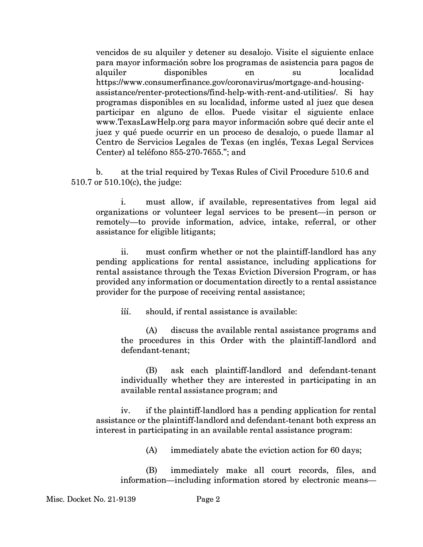vencidos de su alquiler y detener su desalojo. Visite el siguiente enlace para mayor informaci6n sobre los programas de asistencia para pagos de alquiler disponibles en su localidad https://www .consumerfinance.gov/coronavirus/mortgage-and-housingassistance/renter-protections/find-help-with-rent-and-utilities/. Si hay programas disponibles en su localidad, informe usted al juez que desea participar en alguno de ellos. Puede visitar el siguiente enlace www.TexasLawHelp.org para mayor información sobre qué decir ante el juez y qué puede ocurrir en un proceso de desalojo, o puede llamar al Centro de Servicios Legales de Texas (en inglés, Texas Legal Services Center) al teléfono 855-270-7655."; and

b. at the trial required by Texas Rules of Civil Procedure 510.6 and 510.7 or 510.l0(c), the judge:

i. must allow, if available, representatives from legal aid organizations or volunteer legal services to be present-in person or remotely-to provide information, advice, intake, referral, or other assistance for eligible litigants;

ii. must confirm whether or not the plaintiff-landlord has any pending applications for rental assistance, including applications for rental assistance through the Texas Eviction Diversion Program, or has provided any information or documentation directly to a rental assistance provider for the purpose of receiving rental assistance;

iii. should, if rental assistance is available:

(A) discuss the available rental assistance programs and the procedures in this Order with the plaintiff-landlord and defendant-tenant;

(B) ask each plaintiff-landlord and defendant-tenant individually whether they are interested in participating in an available rental assistance program; and

iv. if the plaintiff-landlord has a pending application for rental assistance or the plaintiff-landlord and defendant-tenant both express an interest in participating in an available rental assistance program:

(A) immediately abate the eviction action for 60 days;

(B) immediately make all court records, files, and information—including information stored by electronic means—

Misc. Docket No. 21-9139 Page 2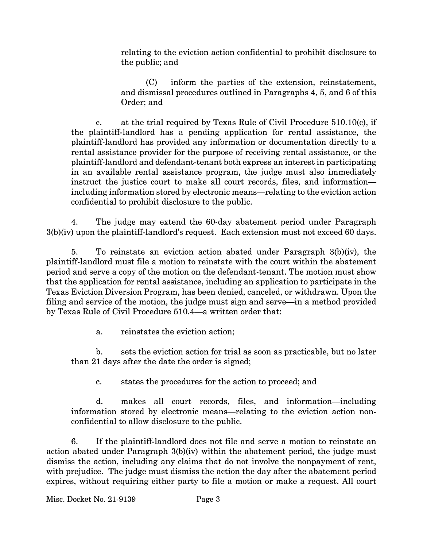relating to the eviction action confidential to prohibit disclosure to the public; and

(C) inform the parties of the extension, reinstatement, and dismissal procedures outlined in Paragraphs 4, 5, and 6 of this Order; and

c. at the trial required by Texas Rule of Civil Procedure 510.l0(c), if the plaintiff-landlord has a pending application for rental assistance, the plaintiff-landlord has provided any information or documentation directly to a rental assistance provider for the purpose of receiving rental assistance, or the plaintiff-landlord and defendant-tenant both express an interest in participating in an available rental assistance program, the judge must also immediately instruct the justice court to make all court records, files, and information including information stored by electronic means—relating to the eviction action confidential to prohibit disclosure to the public.

4. The judge may extend the 60-day abatement period under Paragraph 3(b)(iv) upon the plaintiff-landlord's request. Each extension must not exceed 60 days.

5. To reinstate an eviction action abated under Paragraph 3(b)(iv), the plaintiff-landlord must file a motion to reinstate with the court within the abatement period and serve a copy of the motion on the defendant-tenant. The motion must show that the application for rental assistance, including an application to participate in the Texas Eviction Diversion Program, has been denied, canceled, or withdrawn. Upon the filing and service of the motion, the judge must sign and serve—in a method provided by Texas Rule of Civil Procedure 510.4-a written order that:

a. reinstates the eviction action;

b. sets the eviction action for trial as soon as practicable, but no later than 21 days after the date the order is signed;

c. states the procedures for the action to proceed; and

d. makes all court records, files, and information-including information stored by electronic means—relating to the eviction action nonconfidential to allow disclosure to the public.

6. If the plaintiff-landlord does not file and serve a motion to reinstate an action abated under Paragraph 3(b)(iv) within the abatement period, the judge must dismiss the action, including any claims that do not involve the nonpayment of rent, with prejudice. The judge must dismiss the action the day after the abatement period expires, without requiring either party to file a motion or make a request. All court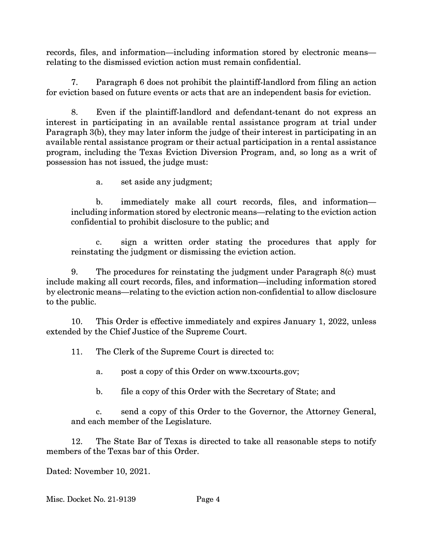records, files, and information—including information stored by electronic means relating to the dismissed eviction action must remain confidential.

7. Paragraph 6 does not prohibit the plaintiff-landlord from filing an action for eviction based on future events or acts that are an independent basis for eviction.

8. Even if the plaintiff-landlord and defendant-tenant do not express an interest in participating in an available rental assistance program at trial under Paragraph 3(b), they may later inform the judge of their interest in participating in an available rental assistance program or their actual participation in a rental assistance program, including the Texas Eviction Diversion Program, and, so long as a writ of possession has not issued, the judge must:

a. set aside any judgment;

b. immediately make all court records, files, and informationincluding information stored by electronic means—relating to the eviction action confidential to prohibit disclosure to the public; and

c. sign a written order stating the procedures that apply for reinstating the judgment or dismissing the eviction action.

9. The procedures for reinstating the judgment under Paragraph 8(c) must include making all court records, files, and information—including information stored by electronic means-relating to the eviction action non-confidential to allow disclosure to the public.

10. This Order is effective immediately and expires January 1, 2022, unless extended by the Chief Justice of the Supreme Court.

11. The Clerk of the Supreme Court is directed to:

a. post a copy of this Order on www.txcourts.gov;

b. file a copy of this Order with the Secretary of State; and

c. send a copy of this Order to the Governor, the Attorney General, and each member of the Legislature.

12. The State Bar of Texas is directed to take all reasonable steps to notify members of the Texas bar of this Order.

Dated: November 10, 2021.